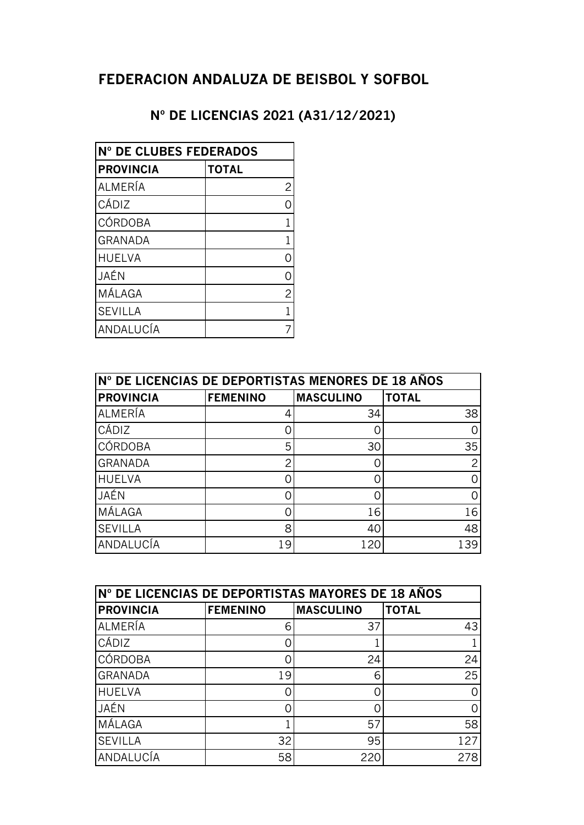## **FEDERACION ANDALUZA DE BEISBOL Y SOFBOL**

## **Nº DE LICENCIAS 2021 (A31/12/2021)**

| Nº DE CLUBES FEDERADOS |                |  |
|------------------------|----------------|--|
| <b>PROVINCIA</b>       | <b>TOTAL</b>   |  |
| ALMERÍA                | $\overline{c}$ |  |
| CÁDIZ                  | $\Omega$       |  |
| <b>CÓRDOBA</b>         | 1              |  |
| <b>GRANADA</b>         | 1              |  |
| <b>HUELVA</b>          | Ω              |  |
| JAÉN                   | ი              |  |
| MÁLAGA                 | $\overline{c}$ |  |
| <b>SEVILLA</b>         | 1              |  |
| ANDALUCÍA              | 7              |  |

| N° DE LICENCIAS DE DEPORTISTAS MENORES DE 18 AÑOS |                 |                  |              |
|---------------------------------------------------|-----------------|------------------|--------------|
| <b>PROVINCIA</b>                                  | <b>FEMENINO</b> | <b>MASCULINO</b> | <b>TOTAL</b> |
| ALMERÍA                                           |                 | 34               | 38           |
| CÁDIZ                                             |                 |                  |              |
| CÓRDOBA                                           | 5               | 30               | 35           |
| <b>GRANADA</b>                                    | っ               |                  | 2            |
| <b>HUELVA</b>                                     |                 |                  |              |
| JAÉN                                              |                 |                  |              |
| MÁLAGA                                            |                 | 16               | 16           |
| <b>SEVILLA</b>                                    | 8               | 40               | 48           |
| ANDALUCÍA                                         | 19              | 120              | 139          |

| N° DE LICENCIAS DE DEPORTISTAS MAYORES DE 18 AÑOS |                 |                  |              |
|---------------------------------------------------|-----------------|------------------|--------------|
| <b>PROVINCIA</b>                                  | <b>FEMENINO</b> | <b>MASCULINO</b> | <b>TOTAL</b> |
| ALMERÍA                                           | 6               | 37               | 43           |
| CÁDIZ                                             |                 |                  |              |
| CÓRDOBA                                           |                 | 24               | 24           |
| <b>GRANADA</b>                                    | 19              | 6                | 25           |
| <b>HUELVA</b>                                     |                 |                  |              |
| JAÉN                                              |                 |                  |              |
| MÁLAGA                                            |                 | 57               | 58           |
| <b>SEVILLA</b>                                    | 32              | 95               | 127          |
| ANDALUCÍA                                         | 58              | 220              | 278          |